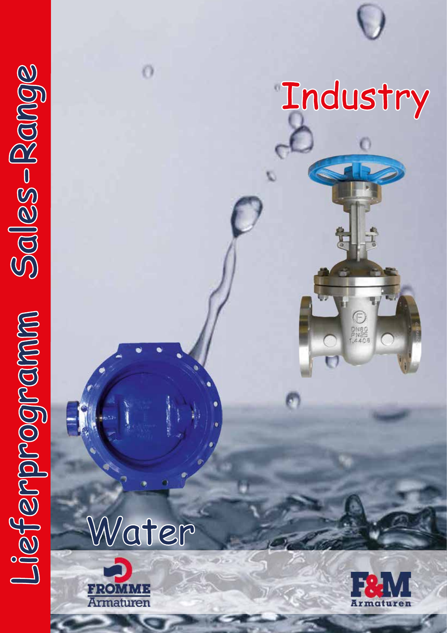

 $\bigodot_{\substack{D\text{NEO}\\ P\text{NEG}\\ \uparrow,6408}}$ 

Water

Ö



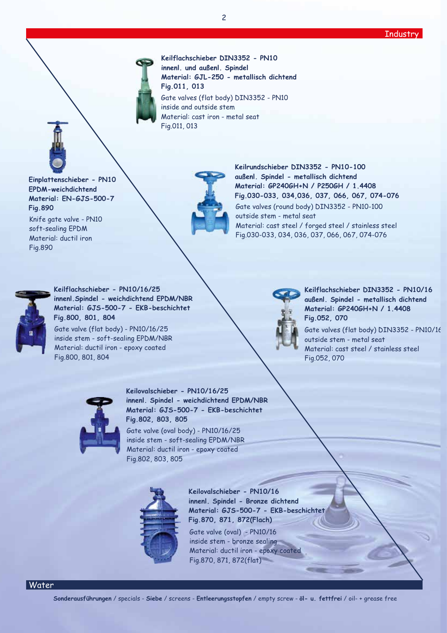### **Industry**

**Keilflachschieber DIN3352 - PN10 innenl. und außenl. Spindel Material: GJL-250 - metallisch dichtend Fig.011, 013** Gate valves (flat body) DIN3352 - PN10 inside and outside stem Material: cast iron - metal seat Fig.011, 013

**Einplattenschieber - PN10 EPDM-weichdichtend Material: EN-GJS-500-7 Fig.890** Knife gate valve - PN10 soft-sealing EPDM Material: ductil iron Fig.890



**Keilrundschieber DIN3352 - PN10-100 außenl. Spindel - metallisch dichtend Material: GP240GH+N / P250GH / 1.4408 Fig.030-033, 034,036, 037, 066, 067, 074-076** Gate valves (round body) DIN3352 - PN10-100 outside stem - metal seat Material: cast steel / forged steel / stainless steel Fig.030-033, 034, 036, 037, 066, 067, 074-076



**Keilflachschieber - PN10/16/25 innenl.Spindel - weichdichtend EPDM/NBR Material: GJS-500-7 - EKB-beschichtet Fig.800, 801, 804** Gate valve (flat body) - PN10/16/25 inside stem - soft-sealing EPDM/NBR

Material: ductil iron - epoxy coated Fig.800, 801, 804



**Keilflachschieber DIN3352 - PN10/16 außenl. Spindel - metallisch dichtend Material: GP240GH+N / 1.4408 Fig.052, 070**

Gate valves (flat body) DIN3352 - PN10/16 outside stem - metal seat Material: cast steel / stainless steel Fig.052, 070



**Keilovalschieber - PN10/16/25 innenl. Spindel - weichdichtend EPDM/NBR Material: GJS-500-7 - EKB-beschichtet Fig.802, 803, 805**

Gate valve (oval body) - PN10/16/25 inside stem - soft-sealing EPDM/NBR Material: ductil iron - epoxy coated Fig.802, 803, 805



**Keilovalschieber - PN10/16 innenl. Spindel - Bronze dichtend Material: GJS-500-7 - EKB-beschichtet Fig.870, 871, 872(Flach)** Gate valve (oval) - PN10/16 inside stem - bronze sealing Material: ductil iron - epoxy coated

**Sonderausführungen** / specials - **Siebe** / screens - **Entleerungsstopfen** / empty screw - **öl- u. fettfrei** / oil- + grease free

Fig.870, 871, 872(flat)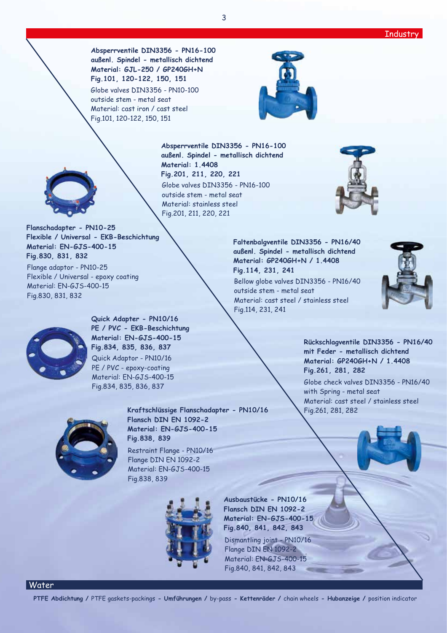**Absperrventile DIN3356 - PN16-100 außenl. Spindel - metallisch dichtend Material: GJL-250 / GP240GH+N Fig.101, 120-122, 150, 151** Globe valves DIN3356 - PN10-100

outside stem - metal seat Material: cast iron / cast steel Fig.101, 120-122, 150, 151



**Material: GP240GH+N / 1.4408**

Material: cast steel / stainless steel

**Fig.114, 231, 241**

Fig.114, 231, 241

outside stem - metal seat

**Absperrventile DIN3356 - PN16-100 außenl. Spindel - metallisch dichtend Material: 1.4408 Fig.201, 211, 220, 221** Globe valves DIN3356 - PN16-100 outside stem - metal seat Material: stainless steel Fig.201, 211, 220, 221



**Flanschadapter - PN10-25 Flexible / Universal - EKB-Beschichtung Material: EN-GJS-400-15 Fig.830, 831, 832**

Flange adaptor - PN10-25 Flexible / Universal - epoxy coating Material: EN-GJS-400-15 Fig.830, 831, 832



**Quick Adapter - PN10/16 PE / PVC - EKB-Beschichtung Material: EN-GJS-400-15 Fig.834, 835, 836, 837** Quick Adaptor - PN10/16 PE / PVC - epoxy-coating Material: EN-GJS-400-15 Fig.834, 835, 836, 837



**Kraftschlüssige Flanschadapter - PN10/16 Flansch DIN EN 1092-2 Material: EN-GJS-400-15 Fig.838, 839** Restraint Flange - PN10/16 Flange DIN EN 1092-2

Material: EN-GJS-400-15 Fig.838, 839



**Ausbaustücke - PN10/16 Flansch DIN EN 1092-2 Material: EN-GJS-400-15 Fig.840, 841, 842, 843**

Dismantling joint - PN10/16 Flange DIN EN 1092-2 Material: EN-GJS-400-15 Fig.840, 841, 842, 843



**Rückschlagventile DIN3356 - PN16/40 mit Feder - metallisch dichtend Material: GP240GH+N / 1.4408 Fig.261, 281, 282** Globe check valves DIN3356 - PN16/40 with Spring - metal seat Material: cast steel / stainless steel Fig.261, 281, 282

## Water

**PTFE Abdichtung /** PTFE gaskets-packings **- Umführungen /** by-pass **- Kettenräder /** chain wheels **- Hubanzeige /** position indicator

3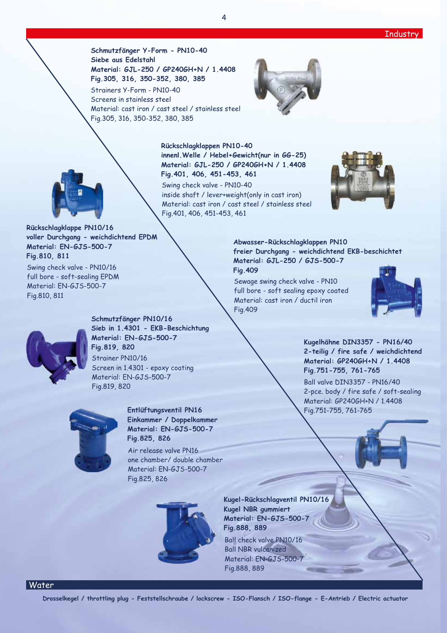

**Schmutzfänger Y-Form - PN10-40 Siebe aus Edelstahl Material: GJL-250 / GP240GH+N / 1.4408 Fig.305, 316, 350-352, 380, 385**

Strainers Y-Form - PN10-40 Screens in stainless steel Material: cast iron / cast steel / stainless steel Fig.305, 316, 350-352, 380, 385





**innenl.Welle / Hebel+Gewicht(nur in GG-25) Material: GJL-250 / GP240GH+N / 1.4408 Fig.401, 406, 451-453, 461** Swing check valve - PN10-40

**Rückschlagklappen PN10-40**

inside shaft / lever+weight(only in cast iron) Material: cast iron / cast steel / stainless steel Fig.401, 406, 451-453, 461



**Rückschlagklappe PN10/16 voller Durchgang - weichdichtend EPDM Material: EN-GJS-500-7 Fig.810, 811**

Swing check valve - PN10/16 full bore - soft-sealing EPDM Material: EN-GJS-500-7 Fig.810, 811



**Schmutzfänger PN10/16 Sieb in 1.4301 - EKB-Beschichtung Material: EN-GJS-500-7 Fig.819, 820** Strainer PN10/16 Screen in 1.4301 - epoxy coating Material: EN-GJS-500-7 Fig.819, 820



**Entlüftungsventil PN16 Einkammer / Doppelkammer Material: EN-GJS-500-7 Fig.825, 826**

Air release valve PN16 one chamber/ double chamber Material: EN-GJS-500-7 Fig.825, 826



**Kugel-Rückschlagventil PN10/16 Kugel NBR gummiert Material: EN-GJS-500-7 Fig.888, 889**

Ball check valve PN10/16 Ball NBR vulcanized Material: EN-GJS-500-7 Fig.888, 889

**Abwasser-Rückschlagklappen PN10 freier Durchgang - weichdichtend EKB-beschichtet Material: GJL-250 / GJS-500-7** 

**Fig.409**

Sewage swing check valve - PN10 full bore - soft sealing epoxy coated Material: cast iron / ductil iron Fig.409





Water

**Drosselkegel / throttling plug - Feststellschraube / lockscrew - ISO-Flansch / ISO-flange - E-Antrieb / Electric actuator**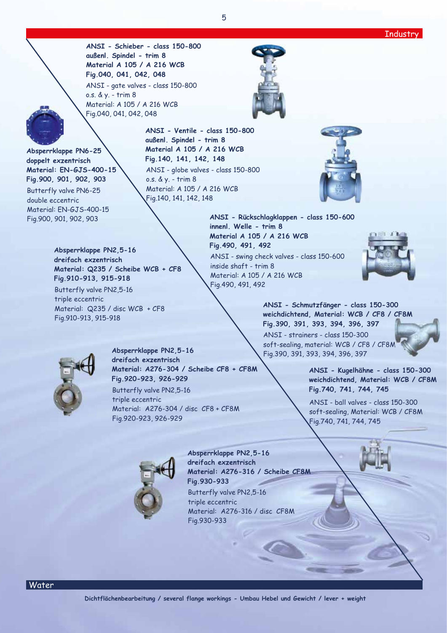**ANSI - Schieber - class 150-800 außenl. Spindel - trim 8 Material A 105 / A 216 WCB Fig.040, 041, 042, 048** ANSI - gate valves - class 150-800 o.s. & y. - trim 8

Material: A 105 / A 216 WCB Fig.040, 041, 042, 048



**Absperrklappe PN6-25 doppelt exzentrisch Material: EN-GJS-400-15 Fig.900, 901, 902, 903** Butterfly valve PN6-25 double eccentric Material: EN-GJS-400-15

> **Absperrklappe PN2,5-16 dreifach exzentrisch**

**Fig.910-913, 915-918** Butterfly valve PN2,5-16

triple eccentric

Fig.910-913, 915-918

**Material: Q235 / Scheibe WCB + CF8**

Material: Q235 / disc WCB + CF8

**ANSI - Ventile - class 150-800 außenl. Spindel - trim 8 Material A 105 / A 216 WCB Fig.140, 141, 142, 148** ANSI - globe valves - class 150-800 o.s. & y. - trim 8 Material: A 105 / A 216 WCB Fig.140, 141, 142, 148



Fig.900, 901, 902, 903 **ANSI - Rückschlagklappen - class 150-600 innenl. Welle - trim 8 Material A 105 / A 216 WCB Fig.490, 491, 492** ANSI - swing check valves - class 150-600 inside shaft - trim 8 Material: A 105 / A 216 WCB Fig.490, 491, 492



**ANSI - Schmutzfänger - class 150-300 weichdichtend, Material: WCB / CF8 / CF8M Fig.390, 391, 393, 394, 396, 397**

ANSI - strainers - class 150-300 soft-sealing, material: WCB / CF8 / CF8M Fig.390, 391, 393, 394, 396, 397

> **ANSI - Kugelhähne - class 150-300 weichdichtend, Material: WCB / CF8M Fig.740, 741, 744, 745**

ANSI - ball valves - class 150-300 soft-sealing, Material: WCB / CF8M Fig.740, 741, 744, 745



**Absperrklappe PN2,5-16 dreifach exzentrisch Material: A276-304 / Scheibe CF8 + CF8M Fig.920-923, 926-929** Butterfly valve PN2,5-16 triple eccentric

Material: A276-304 / disc CF8 + CF8M Fig.920-923, 926-929



**Absperrklappe PN2,5-16 dreifach exzentrisch Material: A276-316 / Scheibe CF8M Fig.930-933** Butterfly valve PN2,5-16 triple eccentric Material: A276-316 / disc CF8M Fig.930-933

Water

5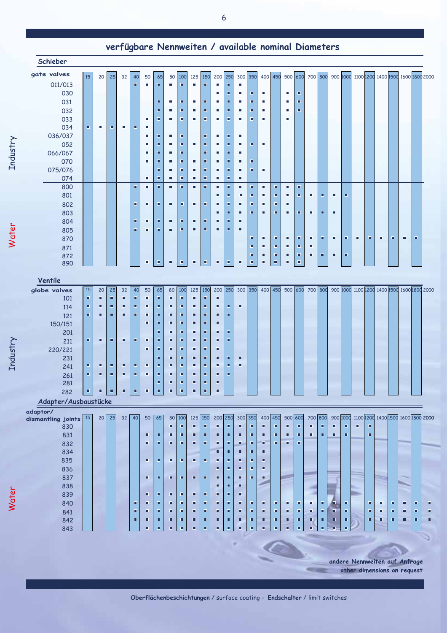| Schieber                         |    |    |                |                 |                |                     |                     |                |                     |                |                     |        |                |                |                |        |                     |                |                     |                |                     |          |                     |   |   |   |                |                                                                             |                |
|----------------------------------|----|----|----------------|-----------------|----------------|---------------------|---------------------|----------------|---------------------|----------------|---------------------|--------|----------------|----------------|----------------|--------|---------------------|----------------|---------------------|----------------|---------------------|----------|---------------------|---|---|---|----------------|-----------------------------------------------------------------------------|----------------|
| gate valves                      | 15 | 20 | 25             | 32              | 40             | 50                  | 65                  | 80             | 100                 | 125            | 150                 | 200    | 250            | 300 350        |                |        |                     |                |                     |                |                     |          |                     |   |   |   |                | 400 450 500 600 700 800 900 1000 1100 1200 1400 1500 1600 1800 2000         |                |
| 011/013                          |    |    |                |                 | п              | п                   | о                   | п              | о                   | ٠              | о                   | T.     | п              | п              |                |        |                     |                |                     |                |                     |          |                     |   |   |   |                |                                                                             |                |
| 030                              |    |    |                |                 |                |                     |                     |                |                     |                |                     | п      | □              | п              | о              | п      |                     | п              | о                   |                |                     |          |                     |   |   |   |                |                                                                             |                |
| 031                              |    |    |                |                 |                |                     | □                   | ٠              | п                   | ٠              | п                   | п      | п              | п              | о              | ٠      |                     | п              | п                   |                |                     |          |                     |   |   |   |                |                                                                             |                |
| 032                              |    |    |                |                 |                |                     | п                   | п              | Ξ                   | п              | п                   | п      | п              | п              | о              | ٠      |                     | п              | Ξ                   |                |                     |          |                     |   |   |   |                |                                                                             |                |
| 033                              |    |    |                |                 |                | п                   | о                   | п              | □                   | ٠              | п                   | п      | □              | п              | о              | п      |                     | п              |                     |                |                     |          |                     |   |   |   |                |                                                                             |                |
| 034                              | п  | ٠  | $\blacksquare$ | п               | п              | п                   |                     |                |                     |                |                     |        |                |                |                |        |                     |                |                     |                |                     |          |                     |   |   |   |                |                                                                             |                |
| 036/037                          |    |    |                |                 |                | п                   | ο                   | п              | о                   |                | □                   | п      | п              | п              |                |        |                     |                |                     |                |                     |          |                     |   |   |   |                |                                                                             |                |
|                                  |    |    |                |                 |                | п                   | о                   | п              | п                   | ٠              | п                   | ٠      | п              | п              | $\blacksquare$ | ٠      |                     |                |                     |                |                     |          |                     |   |   |   |                |                                                                             |                |
| 052                              |    |    |                |                 |                | ٠                   | □                   | п              | □                   |                | □                   | п      | □              | п              |                |        |                     |                |                     |                |                     |          |                     |   |   |   |                |                                                                             |                |
| 066/067                          |    |    |                |                 |                |                     | о                   |                |                     |                |                     |        | $\blacksquare$ |                | п              |        |                     |                |                     |                |                     |          |                     |   |   |   |                |                                                                             |                |
| 070                              |    |    |                |                 |                | ٠                   |                     | п              | ο                   | ٠              | □                   | п      |                | п              |                |        |                     |                |                     |                |                     |          |                     |   |   |   |                |                                                                             |                |
| 075/076                          |    |    |                |                 |                |                     | $\blacksquare$      | п              | п                   | $\blacksquare$ | п                   | п      | п              | п              | о              | ٠      |                     |                |                     |                |                     |          |                     |   |   |   |                |                                                                             |                |
| 074                              |    |    |                |                 |                | ٠                   | □                   | п              | п                   | ٠              | □                   | ٠      | п              | ٠              |                |        |                     |                |                     |                |                     |          |                     |   |   |   |                |                                                                             |                |
| 800                              |    |    |                |                 | $\blacksquare$ | $\blacksquare$      | ο                   | п              | о                   | ٠              | ο                   | п      | п              | п              | о              | п      | о                   | п              | ο                   |                |                     |          |                     |   |   |   |                |                                                                             |                |
| 801                              |    |    |                |                 |                |                     |                     |                |                     |                |                     | п      | п              | ٠              | о              | п      | $\blacksquare$      | п              | $\blacksquare$      | $\blacksquare$ | $\blacksquare$      | ٠        | о                   |   |   |   |                |                                                                             |                |
| 802                              |    |    |                |                 | п              | $\blacksquare$      | $\blacksquare$      | $\blacksquare$ | о                   | $\blacksquare$ | п                   | п      | п              | П              | о              | ٠      | $\blacksquare$      | п              |                     |                |                     |          |                     |   |   |   |                |                                                                             |                |
| 803                              |    |    |                |                 |                |                     |                     |                |                     |                |                     | Е      | □              | п              | □              | о      | о                   | п              | о                   | $\blacksquare$ | $\blacksquare$      | п        |                     |   |   |   |                |                                                                             |                |
| 804                              |    |    |                |                 | п              | ٠                   | о                   | п              | о                   | ٠              | п                   | п      | п              | п              |                |        |                     |                |                     |                |                     |          |                     |   |   |   |                |                                                                             |                |
| 805                              |    |    |                |                 | $\blacksquare$ | п                   | Ξ                   | ٠              | ο                   | ٠              | □                   | г      | П              | п              |                |        |                     |                |                     |                |                     |          |                     |   |   |   |                |                                                                             |                |
| 870                              |    |    |                |                 |                |                     |                     |                |                     |                |                     |        |                |                | о              | п      | п                   | $\blacksquare$ | $\blacksquare$      | ٠              | $\blacksquare$      | ٠        | $\blacksquare$      | ٠ | п | ٠ | п              | ٠                                                                           | $\blacksquare$ |
| 871                              |    |    |                |                 |                |                     |                     |                |                     |                |                     |        |                |                | о              | п      | о                   | п              | о                   | п              |                     |          |                     |   |   |   |                |                                                                             |                |
| 872                              |    |    |                |                 |                |                     |                     |                |                     |                |                     |        |                |                | П              | п      | п                   | п              | п                   | п              | □                   | ٠        | □                   |   |   |   |                |                                                                             |                |
| 890                              |    |    |                |                 |                | $\blacksquare$      | □                   | о              | $\blacksquare$      | $\blacksquare$ | п                   | п      | п              | □              | п              | □      | п                   | п              | $\Box$              |                |                     |          |                     |   |   |   |                |                                                                             |                |
| Ventile                          |    |    |                |                 |                |                     |                     |                |                     |                |                     |        |                |                |                |        |                     |                |                     |                |                     |          |                     |   |   |   |                |                                                                             |                |
| globe valves                     | 15 | 20 | 25             | 32              | 40             | 50                  | 65                  | 80             | 100                 | 125            | 150                 |        | 200 250        |                |                |        |                     |                |                     |                |                     |          |                     |   |   |   |                | 300 350 400 450 500 600 700 800 900 1000 1100 1200 1400 1500 1600 1800 2000 |                |
| 101                              | п  | ٠  | п              | п               | о              | п                   | о                   | П              | о                   | п              | п                   | п      |                |                |                |        |                     |                |                     |                |                     |          |                     |   |   |   |                |                                                                             |                |
| 114                              | п  | ٠  | п              | о               | п              | $\blacksquare$      | $\blacksquare$      | о              | о                   | Ξ              | п                   | п      | п              | $\blacksquare$ |                |        |                     |                |                     |                |                     |          |                     |   |   |   |                |                                                                             |                |
| 121                              | п  | D. | п              | Ξ               | п              | ٠                   | □                   | α              | п                   | α.             | п                   | п      | $\blacksquare$ |                |                |        |                     |                |                     |                |                     |          |                     |   |   |   |                |                                                                             |                |
| 150/151                          |    |    |                |                 |                | о                   | □                   | Ξ              | п                   | ▫              | Ξ                   | о      |                |                |                |        |                     |                |                     |                |                     |          |                     |   |   |   |                |                                                                             |                |
| 201                              |    |    |                |                 |                |                     | □                   | о              | о                   | о              | □                   | о      | о              |                |                |        |                     |                |                     |                |                     |          |                     |   |   |   |                |                                                                             |                |
| 211                              | п  | п  | о              | Ξ               | п              | п                   | о                   | о              | п                   | п              | п                   | о      | о              |                |                |        |                     |                |                     |                |                     |          |                     |   |   |   |                |                                                                             |                |
|                                  |    |    |                |                 |                | о                   | □                   | о              | п                   | Ξ              | □                   | о      |                |                |                |        |                     |                |                     |                |                     |          |                     |   |   |   |                |                                                                             |                |
| 220/221                          |    |    |                |                 |                |                     |                     |                |                     |                |                     |        | $\blacksquare$ |                |                |        |                     |                |                     |                |                     |          |                     |   |   |   |                |                                                                             |                |
| 231                              | п  |    |                |                 |                |                     | о                   | с              | п                   | σ<br>α.        | □<br>п              | п<br>п | п              | □<br>п         |                |        |                     |                |                     |                |                     |          |                     |   |   |   |                |                                                                             |                |
| 241                              |    | п  | о              | ■               | п              | п                   | □                   | α              | п                   |                |                     |        |                |                |                |        |                     |                |                     |                |                     |          |                     |   |   |   |                |                                                                             |                |
| 261                              | п  | п  | п              | □               | п              | п                   | о                   | о              | о                   | σ              | п                   | п      | п              |                |                |        |                     |                |                     |                |                     |          |                     |   |   |   |                |                                                                             |                |
| 281                              |    |    |                |                 |                |                     | □                   | □              | п                   | п              | $\blacksquare$      | п      |                |                |                |        |                     |                |                     |                |                     |          |                     |   |   |   |                |                                                                             |                |
| 282                              | 미  | ٠  | $\blacksquare$ | Ξ               | $\blacksquare$ | ٠                   | 회                   | $\blacksquare$ | $\blacksquare$      | $\blacksquare$ | $\vert \cdot \vert$ | ٠      |                |                |                |        |                     |                |                     |                |                     |          |                     |   |   |   |                |                                                                             |                |
| Adapter/Ausbaustücke<br>adaptor/ |    |    |                |                 |                |                     |                     |                |                     |                |                     |        |                |                |                |        |                     |                |                     |                |                     |          |                     |   |   |   |                |                                                                             |                |
| dismantling joints               | 15 | 20 | 25             | 32 <sup>2</sup> | 40             | 50                  | 65                  |                | 80 100              | 125            | 150                 | 200    | 250            | 300            | 350            | 400    | 450                 | 500 600        |                     | 700 800        |                     | 900 1000 |                     |   |   |   |                | 1100 1200 1400 1500 1600 1800 2000                                          |                |
| 830                              |    |    |                |                 |                |                     |                     | п              | $\blacksquare$      | о              | п                   | п      | п              | п              | п              | п      | п                   | $\blacksquare$ | $\blacksquare$      | П              | п                   | п        | п                   | п | п |   |                |                                                                             |                |
| 831                              |    |    |                |                 |                | Ξ                   | $\blacksquare$      | α              | $\blacksquare$      | □              | п                   | о      | п              | о              | о              | ▫      | п                   | о              | $\blacksquare$      | $\blacksquare$ | Ξ                   | Ξ        | о                   |   | о |   |                |                                                                             |                |
| 832                              |    |    |                |                 |                | о                   | □                   | о              | п                   | о              | о                   | п      | п              | □              | п              | о      | п                   | о              | о                   |                |                     |          |                     |   |   |   |                |                                                                             |                |
| 834                              |    |    |                |                 |                |                     |                     |                |                     |                |                     | □      | □              | о              | о              | о      |                     |                |                     |                |                     |          |                     |   |   |   |                |                                                                             |                |
|                                  |    |    |                |                 |                | о                   | □                   | о              | п                   | $\blacksquare$ | п                   | п      | п              | □              | о              | □      |                     |                |                     |                |                     |          |                     |   |   |   |                |                                                                             |                |
|                                  |    |    |                |                 |                |                     |                     |                |                     |                |                     | п      | п              | □              | о              | □      |                     |                |                     |                |                     |          |                     |   |   |   |                |                                                                             |                |
| 835                              |    |    |                |                 |                | $\blacksquare$      | $\blacksquare$      | $\blacksquare$ | п                   | $\blacksquare$ | □                   | о      | п              | □              | о              | □      |                     |                |                     |                |                     |          |                     |   |   |   |                |                                                                             |                |
| 836                              |    |    |                |                 |                |                     |                     |                |                     |                |                     | п      | п              | О              |                |        |                     |                |                     |                |                     |          |                     |   |   |   |                |                                                                             |                |
| 837                              |    |    |                |                 |                |                     |                     | □              | п                   | □              | □                   | г      | □              | о              |                |        |                     |                |                     |                |                     |          |                     |   |   |   |                |                                                                             |                |
| 838                              |    |    |                |                 |                |                     |                     |                |                     |                |                     |        |                |                |                |        |                     | п              |                     |                |                     |          |                     |   |   |   |                |                                                                             |                |
| 839                              |    |    |                |                 |                | □                   | □                   |                |                     |                |                     |        |                |                |                |        |                     |                |                     |                |                     |          |                     |   |   |   |                |                                                                             |                |
| 840                              |    |    |                |                 | п              | о                   | Ξ                   | П              | п                   | п              | п                   | п      | п              | п              | п              | п      | п                   |                | $\blacksquare$      | п              | Ξ                   | o        | п                   |   | п | п | п              | $\blacksquare$<br>о                                                         |                |
| 841                              |    |    |                |                 | п              | о                   | □                   | □              | □                   | п              | □                   | □      | ▫              | □              | П              | □      | о                   | О              | ο                   | о              | о                   | □        | ο                   |   | п | г | □              | П                                                                           | г              |
| 842<br>843                       |    |    |                |                 | п              | о<br>$\blacksquare$ | $\blacksquare$<br>□ | П<br>□         | $\blacksquare$<br>п | п<br>□         | п<br>п              | п<br>Е | п<br>о         | П<br>п         | п<br>п         | □<br>□ | $\blacksquare$<br>п | п<br>о         | $\blacksquare$<br>п | п<br>о         | $\blacksquare$<br>п | □<br>п   | $\blacksquare$<br>ō |   | п | о | $\blacksquare$ | П                                                                           | $\blacksquare$ |

Industry

Water

Industry

Water

andere Nennweiten auf Anfrage **START I** 

other dimensions on request

**Oberflächenbeschichtungen** / surface coating - **Endschalter** / limit switches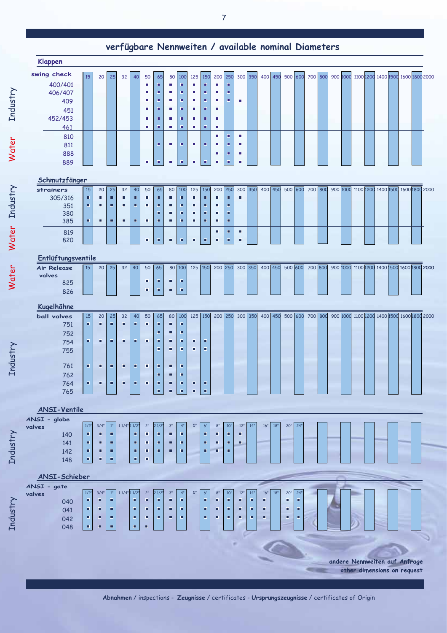| <b>Klappen</b>            |                |           |                     |               |                                  |                |                                  |                |                     |                |                     | ver rugbare remiwerten / avanable nominar blamerers |                |                       |                |         |       |         |     |         |  |  |  |  |                                                                     |
|---------------------------|----------------|-----------|---------------------|---------------|----------------------------------|----------------|----------------------------------|----------------|---------------------|----------------|---------------------|-----------------------------------------------------|----------------|-----------------------|----------------|---------|-------|---------|-----|---------|--|--|--|--|---------------------------------------------------------------------|
| swing check               | 15             | 20        | 25                  | 32            | 40                               | 50             | 65                               | 80             | 100                 | 125            | 150                 | 200 250                                             |                |                       | 300 350        |         |       |         |     |         |  |  |  |  | 400 450 500 600 700 800 900 1000 1100 1200 1400 1500 1600 1800 2000 |
| 400/401                   |                |           |                     |               |                                  | ٠              | п                                | ×.             | o                   | ٠              | Ξ                   | ×                                                   | п              |                       |                |         |       |         |     |         |  |  |  |  |                                                                     |
| 406/407                   |                |           |                     |               |                                  | п              | о                                | ٠              | о                   | ٠              | $\blacksquare$      | п                                                   | п              |                       |                |         |       |         |     |         |  |  |  |  |                                                                     |
| 409<br>451                |                |           |                     |               |                                  | ٠<br>٠         | п<br>$\blacksquare$              | ٠<br>٠         | п<br>$\blacksquare$ | ш<br>٠         | п<br>$\blacksquare$ | ×<br>п                                              | п              | ٠                     |                |         |       |         |     |         |  |  |  |  |                                                                     |
| 452/453                   |                |           |                     |               |                                  | ٠              | п                                | ٠              | ٠                   | ٠              | п                   | п                                                   |                |                       |                |         |       |         |     |         |  |  |  |  |                                                                     |
| 461                       |                |           |                     |               |                                  | ٠              | п                                | ٠              | $\blacksquare$      | ٠              | $\blacksquare$      | ٠                                                   |                |                       |                |         |       |         |     |         |  |  |  |  |                                                                     |
| 810                       |                |           |                     |               |                                  |                |                                  |                |                     |                |                     | $\blacksquare$                                      | $\blacksquare$ | $\blacksquare$        |                |         |       |         |     |         |  |  |  |  |                                                                     |
| 811<br>888                |                |           |                     |               |                                  |                | п                                | ٠              | п                   | ٠              | о                   | п<br>п                                              | п<br>п         | п<br>٠                |                |         |       |         |     |         |  |  |  |  |                                                                     |
| 889                       |                |           |                     |               |                                  | ٠              | $\blacksquare$                   | $\blacksquare$ | $\blacksquare$      | ٠              | $\blacksquare$      | ٠                                                   | $\blacksquare$ | ٠                     |                |         |       |         |     |         |  |  |  |  |                                                                     |
| Schmutzfänger             |                |           |                     |               |                                  |                |                                  |                |                     |                |                     |                                                     |                |                       |                |         |       |         |     |         |  |  |  |  |                                                                     |
| strainers                 | 15             | 20        | 25                  | 32            | 40                               | 50             | 65                               | 80             | 100                 | 125 150        |                     | 200 250                                             |                | 300 350               |                | 400 450 |       |         |     |         |  |  |  |  | 500 600 700 800 900 1000 1100 1200 1400 1500 1600 1800 2000         |
| 305/316                   | п              | п         | п                   | п             | п                                | ٠              | $\blacksquare$                   | ٠              | п                   | ٠              | п                   | п                                                   | п              | п                     |                |         |       |         |     |         |  |  |  |  |                                                                     |
| 351<br>380                | п              | п         | п                   | п             | п                                | ٠              | ٠<br>о                           | ٠<br>п         | п<br>о              | ٠<br>٠         | $\blacksquare$<br>п | п<br>п                                              | п<br>п         |                       |                |         |       |         |     |         |  |  |  |  |                                                                     |
| 385                       | п              | п         | п                   | п             | п                                | $\blacksquare$ | $\blacksquare$                   | $\blacksquare$ | o                   | ٠              | $\blacksquare$      | п                                                   | п              |                       |                |         |       |         |     |         |  |  |  |  |                                                                     |
| 819                       |                |           |                     |               |                                  |                |                                  |                |                     |                |                     | п                                                   | п              | ٠                     |                |         |       |         |     |         |  |  |  |  |                                                                     |
| 820                       |                |           |                     |               |                                  | п              | $\blacksquare$                   | п              | ō                   | п              | $\blacksquare$      | п                                                   | $\blacksquare$ | п                     |                |         |       |         |     |         |  |  |  |  |                                                                     |
| Entlüftungsventile        |                |           |                     |               |                                  |                |                                  |                |                     |                |                     |                                                     |                |                       |                |         |       |         |     |         |  |  |  |  |                                                                     |
| <b>Air Release</b>        | 15             | 20        | 25                  | 32            | 40                               | 50             | 65                               |                | 80 100              | 125 150        |                     |                                                     | 200 250        | 300 350               |                | 400 450 |       | 500 600 |     | 700 800 |  |  |  |  | 900 1000 1100 1200 1400 1500 1600 1800 2000                         |
| valves<br>825             |                |           |                     |               |                                  | п              | $\blacksquare$                   | $\blacksquare$ | Ξ                   |                |                     |                                                     |                |                       |                |         |       |         |     |         |  |  |  |  |                                                                     |
| 826                       |                |           |                     |               |                                  | $\blacksquare$ | ٠                                | Ξ              | $\blacksquare$      |                |                     |                                                     |                |                       |                |         |       |         |     |         |  |  |  |  |                                                                     |
|                           |                |           |                     |               |                                  |                |                                  |                |                     |                |                     |                                                     |                |                       |                |         |       |         |     |         |  |  |  |  |                                                                     |
|                           |                |           |                     |               |                                  |                |                                  |                |                     |                |                     |                                                     |                |                       |                |         |       |         |     |         |  |  |  |  |                                                                     |
| Kugelhähne<br>ball valves | 15             | 20        | 25                  | 32            | 40                               | 50             | 65                               | 80             | 100                 | 125 150        |                     | 200 250                                             |                | 300 350               |                | 400 450 |       |         |     |         |  |  |  |  | 500 600 700 800 900 1000 1100 1200 1400 1500 1600 1800 2000         |
| 751                       | $\blacksquare$ | п         | $\blacksquare$      | п             | $\blacksquare$                   | п              | $\blacksquare$                   | п              | $\blacksquare$      |                |                     |                                                     |                |                       |                |         |       |         |     |         |  |  |  |  |                                                                     |
| 752                       |                |           |                     |               |                                  | П              | $\blacksquare$                   | Ξ              | □                   |                |                     |                                                     |                |                       |                |         |       |         |     |         |  |  |  |  |                                                                     |
| 754                       | п              | п         | п                   | □             | п                                |                | $\blacksquare$<br>$\blacksquare$ | о<br>п         | $\blacksquare$<br>Ξ | п<br>п         | п<br>о              |                                                     |                |                       |                |         |       |         |     |         |  |  |  |  |                                                                     |
| 755                       |                |           |                     |               |                                  |                |                                  |                |                     |                |                     |                                                     |                |                       |                |         |       |         |     |         |  |  |  |  |                                                                     |
| 761                       | $\blacksquare$ | о         | $\blacksquare$      | о             | о                                | о              | $\blacksquare$<br>п              | о<br>о         | о<br>о              |                |                     |                                                     |                |                       |                |         |       |         |     |         |  |  |  |  |                                                                     |
| 762<br>764                | п              | п         | п                   | □             | п                                | о              | $\blacksquare$                   | о              | о                   | □              | п                   |                                                     |                |                       |                |         |       |         |     |         |  |  |  |  |                                                                     |
| 765                       |                |           |                     |               |                                  |                | ò.                               | o,             | $\hat{\mathbf{r}}$  | $\blacksquare$ | $\blacksquare$      |                                                     |                |                       |                |         |       |         |     |         |  |  |  |  |                                                                     |
| <b>ANSI-Ventile</b>       |                |           |                     |               |                                  |                |                                  |                |                     |                |                     |                                                     |                |                       |                |         |       |         |     |         |  |  |  |  |                                                                     |
| ANSI - globe              |                |           | $1"$                |               |                                  | 2"             | 21/2"                            | 3"             | 4 <sup>1</sup>      | 5"             |                     | 8"                                                  |                |                       | 14"            |         |       | 20"     |     |         |  |  |  |  |                                                                     |
| valves<br>140             | 1/2"<br>п      | 3/4"<br>□ | п                   | 1 1/4" 1 1/2" | п                                | $\blacksquare$ | $\blacksquare$                   | $\blacksquare$ | $\blacksquare$      |                | $6"$<br>п           | п                                                   | 10"<br>п       | 12"<br>$\blacksquare$ |                | 16"     | $18"$ |         | 24" |         |  |  |  |  |                                                                     |
| 141                       | п              | п         | $\blacksquare$      |               | п                                | п              | ٠                                | Ξ              | п                   |                | $\blacksquare$      | о                                                   | п              | о                     |                |         |       |         |     |         |  |  |  |  |                                                                     |
| 142                       | о              | □<br>П    | о<br>$\blacksquare$ |               | о<br>$\blacksquare$              | о<br>п         | □                                | о              | □                   |                | о                   | о                                                   | о              |                       |                |         |       |         |     |         |  |  |  |  |                                                                     |
| 148                       | o,             |           |                     |               |                                  |                |                                  |                |                     |                |                     |                                                     |                |                       |                |         |       |         |     |         |  |  |  |  |                                                                     |
| ANSI-Schieber             |                |           |                     |               |                                  |                |                                  |                |                     |                |                     |                                                     |                |                       |                |         |       |         |     |         |  |  |  |  |                                                                     |
| ANSI - gate<br>valves     | 1/2"           | 3/4"      | 1"                  | 1 1/4" 1 1/2" |                                  | 2"             | 21/2"                            | 3"             | 4"                  | 5"             | 6"                  | 8"                                                  | 10"            | 12"                   | 14"            | 16"     | 18"   | 20"     | 24' |         |  |  |  |  |                                                                     |
| 040                       | п              | о         | п                   |               | п                                | п              | ٠                                | п              | п                   |                | п                   | о                                                   | п              | п                     | $\blacksquare$ | ō       |       | п       | о   |         |  |  |  |  |                                                                     |
| 041                       | п              | о         | п                   |               | п                                | п              | ٠                                | п              | $\blacksquare$      |                | п                   | п                                                   | п              | о                     | о              | о       |       | о       | п   |         |  |  |  |  |                                                                     |
| 042<br>048                | □<br>п         | □<br>п    | о<br>п              |               | $\blacksquare$<br>$\blacksquare$ | ο<br>г         | о                                | о              | о                   |                | о                   | о                                                   | о              | о                     | о              | □       |       | о       | п   |         |  |  |  |  |                                                                     |

Industry

Water

Industry

Water

Water

Industry

Industry

Industry

andere Nennweiten auf Anfrage other dimensions on request **START**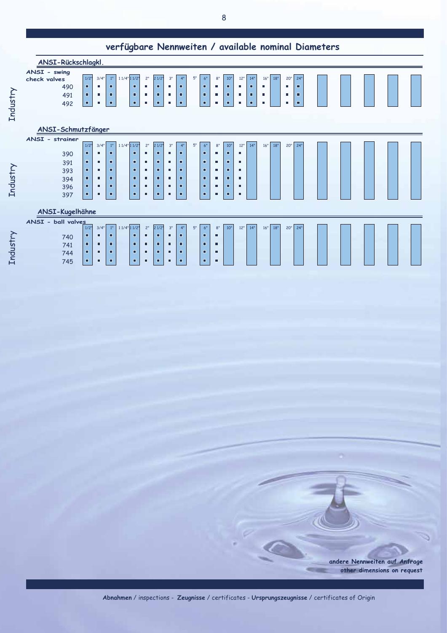|                 | ANSI-Rückschlagkl.                                |                      |                     |                            |                   |             |                   |                      |                   |                                |    |                                                          |                   |                                              |                    |                    |                         |     |                    |                    |  |  |  |  |  |
|-----------------|---------------------------------------------------|----------------------|---------------------|----------------------------|-------------------|-------------|-------------------|----------------------|-------------------|--------------------------------|----|----------------------------------------------------------|-------------------|----------------------------------------------|--------------------|--------------------|-------------------------|-----|--------------------|--------------------|--|--|--|--|--|
| <b>Industry</b> | ANSI - swing<br>check valves<br>490<br>491<br>492 | 1/2"<br>ш<br>п<br>π. | 3/4'<br>п<br>٠<br>٠ | $1^{\rm o}$<br>п<br>п<br>п | $11/4$ " $11/2$ " | п<br>п<br>п | 2"<br>٠<br>٠<br>ш | 21/2"<br>п<br>п<br>п | 3"<br>٠<br>٠<br>г | 4"<br>п<br>$\blacksquare$<br>п | 5" | 6"<br>$\blacksquare$<br>$\blacksquare$<br>$\blacksquare$ | 8"<br>п<br>п<br>п | 10"<br>$\blacksquare$<br>$\blacksquare$<br>п | 12"<br>٠<br>п<br>ш | 14"<br>п<br>п<br>п | 16"<br>$\Box$<br>п<br>п | 18" | 20"<br>п<br>ш<br>п | 24'<br>п<br>п<br>п |  |  |  |  |  |
|                 | ANSI-Schmutzfänger                                |                      |                     |                            |                   |             |                   |                      |                   |                                |    |                                                          |                   |                                              |                    |                    |                         |     |                    |                    |  |  |  |  |  |
|                 | ANSI - strainer                                   | $1/2$ "              | $3/4$ "             | $1^{\rm o}$                | $11/4$ " $11/2$ " |             | $2"$              | 21/2"                | 3"                | 4"                             | 5" | $6"$                                                     | 8"                | 10"                                          | 12"                | 14"                | 16"                     | 18" | 20"                | 24'                |  |  |  |  |  |
|                 | 390                                               | п                    | $\blacksquare$      | п                          |                   | п           | п                 | $\blacksquare$       | п                 | $\blacksquare$                 |    | $\blacksquare$                                           | г                 | п                                            | г                  |                    |                         |     |                    |                    |  |  |  |  |  |
|                 | 391                                               | п                    | ٠                   | п                          |                   | п           | ٠                 | п                    | п                 | $\blacksquare$                 |    | $\blacksquare$                                           | г                 | $\blacksquare$                               | п                  |                    |                         |     |                    |                    |  |  |  |  |  |
|                 | 393                                               | п                    | п                   | п                          |                   | п           | п                 | п                    | п                 | п                              |    | п                                                        | п                 | п                                            | п                  |                    |                         |     |                    |                    |  |  |  |  |  |
|                 | 394                                               | $\blacksquare$<br>о  | п<br>п              | п<br>п                     |                   | п<br>п      | ٠<br>п            | о<br>п               | п<br>п            | п<br>п                         |    | п<br>п                                                   | г<br>п            | п<br>п                                       | п<br>п             |                    |                         |     |                    |                    |  |  |  |  |  |
| <b>Industry</b> | 396<br>397                                        | о                    | п                   | п                          |                   | п           | п                 | п                    | г                 | п                              |    | п                                                        | п                 | п                                            | п                  |                    |                         |     |                    |                    |  |  |  |  |  |
|                 |                                                   |                      |                     |                            |                   |             |                   |                      |                   |                                |    |                                                          |                   |                                              |                    |                    |                         |     |                    |                    |  |  |  |  |  |
|                 | ANSI-Kugelhähne                                   |                      |                     |                            |                   |             |                   |                      |                   |                                |    |                                                          |                   |                                              |                    |                    |                         |     |                    |                    |  |  |  |  |  |
|                 | ANSI - ball valves                                |                      |                     |                            |                   |             |                   |                      |                   |                                |    |                                                          |                   |                                              |                    |                    |                         |     |                    |                    |  |  |  |  |  |
|                 |                                                   | $1/2$ "<br>п         | 3/4"<br>п           | 1 <sup>0</sup><br>п        | $11/4$ " $11/2$ " | п           | 2"<br>Ξ           | 21/2"<br>п           | 3"<br>п           | 4"<br>$\blacksquare$           | 5" | 6"<br>$\blacksquare$                                     | 8"<br>г           | 10"                                          | 12"                | 14 <sup>0</sup>    | 16"                     | 18" | 20"                | 24"                |  |  |  |  |  |
|                 | 740<br>741                                        | п                    | п                   | п                          |                   | п           | п                 | п                    | п                 | п                              |    | п                                                        | г                 |                                              |                    |                    |                         |     |                    |                    |  |  |  |  |  |
| Industry        | 744                                               | $\blacksquare$       | п                   | п                          |                   | п           | Ξ                 | п                    | п                 | п                              |    | $\blacksquare$                                           | г                 |                                              |                    |                    |                         |     |                    |                    |  |  |  |  |  |
|                 | 745                                               | п                    | п                   | п                          |                   | п           | п                 | п                    | п                 | п                              |    | п                                                        | г                 |                                              |                    |                    |                         |     |                    |                    |  |  |  |  |  |

andere Nennweiten auf Anfrage other dimensions on request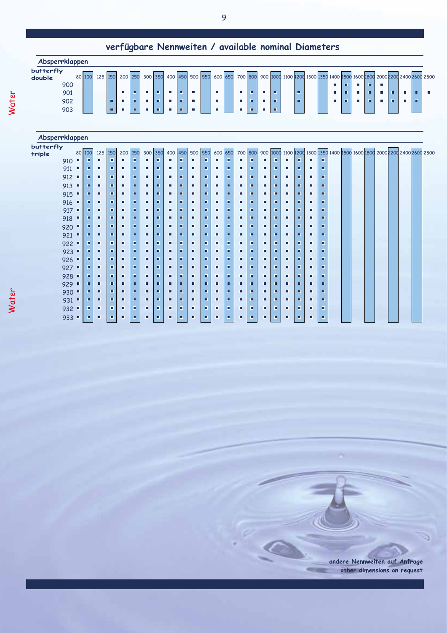| Absperrklappen |     |        |         |   |          |   |         |   |                |                 |         |            |         |            |   |   |  |   |   |   |           |   |  |                                                                           |
|----------------|-----|--------|---------|---|----------|---|---------|---|----------------|-----------------|---------|------------|---------|------------|---|---|--|---|---|---|-----------|---|--|---------------------------------------------------------------------------|
| butterfly      |     |        |         |   |          |   |         |   |                |                 |         |            |         |            |   |   |  |   |   |   |           |   |  |                                                                           |
| double         | 900 | 80 100 | 125 150 |   | 200 250  |   | 300 350 |   |                | 400 450 500 550 | 600 650 |            | 700 800 |            |   |   |  |   |   | п |           |   |  | 900 1000 1100 1200 1300 1350 1400 1500 1600 1800 2000 2200 2400 2600 2800 |
|                | 901 |        |         |   | п        | п |         | п | п              | п               |         | $\sim$ 10  | п.      |            | п | п |  | п |   | п | - E       | п |  |                                                                           |
|                | 902 |        |         | п | <b>D</b> | п | п       | п | $\blacksquare$ | ٠               | - C     | <b>COL</b> |         | <b>III</b> | п | п |  |   | п | п | <b>II</b> | п |  |                                                                           |
|                | 903 |        |         | п |          |   |         | п | п              |                 |         |            | п       |            | п |   |  |   |   |   |           |   |  |                                                                           |
|                |     |        |         |   |          |   |         |   |                |                 |         |            |         |            |   |   |  |   |   |   |           |   |  |                                                                           |
|                |     |        |         |   |          |   |         |   |                |                 |         |            |         |            |   |   |  |   |   |   |           |   |  |                                                                           |

| Absperrklappen       |   |        |     |     |     |                |     |     |   |         |     |     |   |         |   |         |   |   |   |   |   |    |  |  |                                                                           |  |  |
|----------------------|---|--------|-----|-----|-----|----------------|-----|-----|---|---------|-----|-----|---|---------|---|---------|---|---|---|---|---|----|--|--|---------------------------------------------------------------------------|--|--|
| butterfly            |   |        |     |     |     |                |     |     |   |         |     |     |   |         |   |         |   |   |   |   |   |    |  |  |                                                                           |  |  |
| triple               |   | 80 100 | 125 | 150 | 200 | 250            | 300 | 350 |   | 400 450 | 500 | 550 |   | 600 650 |   | 700 800 |   |   |   |   |   |    |  |  | 900 1000 1100 1200 1300 1350 1400 1500 1600 1800 2000 2200 2400 2600 2800 |  |  |
| 910                  | п | п      | п   | п   | п   | п              | п   | п   |   | п       | п   | п   | г | п       | п | п       | п | п | п | п | п | п  |  |  |                                                                           |  |  |
| 911                  |   | α      | п   | О   | п   | о              | п   | П   | ш | П       | п   | о   | п | о       | п | п       | п | п | п | п | п | п  |  |  |                                                                           |  |  |
| 912                  |   | α      | п   | П   | п   | п              | п   | п   | п | П       | п   | п   | п | п       | п | п       | п | п | п | п | г | п  |  |  |                                                                           |  |  |
| 913                  |   | о      | п   | П   | п   | п              | п   | п   | п | П       | п   | п   | п | п       | г | п       | п | п | п | п | п | п  |  |  |                                                                           |  |  |
| 915                  | ш | п      | п   | о   | п   | п              | п   | П   | п | п       | п   | п   | п | п       | п | о       | п | п | п | о | п | п  |  |  |                                                                           |  |  |
| 916                  |   | о      | п   | п   | п   | п              | п   | п   | п | п       | п   | п   | п | п       | п | п       | п | п | п | п | п | п  |  |  |                                                                           |  |  |
| 917                  | п | п      | п   | п   | п   | п              | п   | п   | п | о       | п   | п   | п | п       | п | п       | п | п | п | о | г | п  |  |  |                                                                           |  |  |
| 918                  |   | ш      | о   | □   | о   | п              | о   | П   | п | □       | п   | о.  | п | о       | п | п       | о | □ | о | о | п | Ω  |  |  |                                                                           |  |  |
| 920                  |   | α      | п   | п   | п   | п              | п   | п   | п | П       | п   |     | п | п       | п | п       | п | п | п | о | П | п  |  |  |                                                                           |  |  |
| 921                  | о | о      | П   | О   | П   | п              | п   | П   | п | П       | п   | п   | п | п       | п | п       | п | п | п | п | п | п  |  |  |                                                                           |  |  |
| $922$ $\blacksquare$ |   | о      | о   | о   | о   | п              | п   | о   | П | п       | п   | п   | п | п       | п | п       | о | о | п | о | г | п  |  |  |                                                                           |  |  |
| 923                  |   | о      | о   | п   | п   | п              | о   | п   | п | п       | п   | п   | п | п       | П | п       | Ξ | п | п | п | г | п  |  |  |                                                                           |  |  |
| 926                  |   | □      | П   | п   | о   | п              | П   | п   | п | П       | п   | п   | п | о       | г | п       | п | п | п | п | г | п  |  |  |                                                                           |  |  |
| 927                  |   |        | п   | п   | П   | п              | п   | П   | п | П       | п   | п   | п | п       | п | п       | п | П | п | П | п | п  |  |  |                                                                           |  |  |
| 928                  |   | о      | П   | о   | п   | $\blacksquare$ | п   | п   | П | п       | п   | п   | п | о       | п | п       | п | п | п | п | п | п  |  |  |                                                                           |  |  |
| 929                  | п | □      | п   | о   | П   | $\blacksquare$ | п   | п   | п | П       | п   | п   | п | п       | п | п       | П | п | п | п | п | п  |  |  |                                                                           |  |  |
| 930 .                |   | п      | П   | П   | П   | п              | п   | П   | П | П       | п   | п   | п | о       | п | п       | П | П | П | п | п | п  |  |  |                                                                           |  |  |
| 931                  | П | п      | п   | п   | п   | п              | п   | П   | п | П       | п   | п   | п | п       | п | п       | п | п | п | п | г | п  |  |  |                                                                           |  |  |
| $932$ $\blacksquare$ |   | о      | П   | п   | П   | п              | п   | п   | П | П       | п   | п   | П | п       | п | п       | П | о | п | п | п | п  |  |  |                                                                           |  |  |
| 933                  | О | □      | П   | п   | П   | п              | п   | п   | П | П       | п   | п   | п | п       | г | п       | г | п | п | о | г | Π. |  |  |                                                                           |  |  |

andere Nennweiten auf Anfrage other dimensions on request

**COLOR**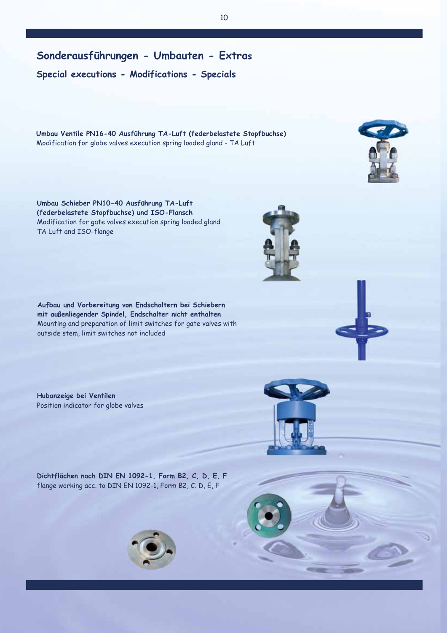**Special executions - Modifications - Specials**

**Umbau Ventile PN16-40 Ausführung TA-Luft (federbelastete Stopfbuchse)**  Modification for globe valves execution spring loaded gland - TA Luft

**Umbau Schieber PN10-40 Ausführung TA-Luft (federbelastete Stopfbuchse) und ISO-Flansch** Modification for gate valves execution spring loaded gland TA Luft and ISO-flange

**Aufbau und Vorbereitung von Endschaltern bei Schiebern mit außenliegender Spindel, Endschalter nicht enthalten**  Mounting and preparation of limit switches for gate valves with outside stem, limit switches not included

**Hubanzeige bei Ventilen** Position indicator for globe valves

**Dichtflächen nach DIN EN 1092-1, Form B2, C, D, E, F** flange working acc. to DIN EN 1092-1, Form B2, C. D, E, F







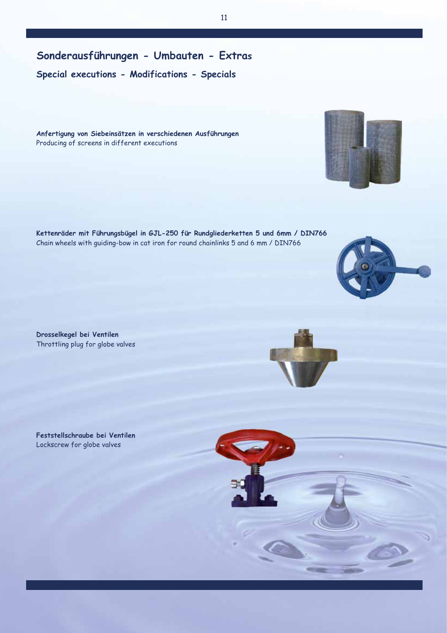**Sonderausführungen - Umbauten - Extras**

**Special executions - Modifications - Specials**

**Anfertigung von Siebeinsätzen in verschiedenen Ausführungen**  Producing of screens in different executions

**Kettenräder mit Führungsbügel in GJL-250 für Rundgliederketten 5 und 6mm / DIN766**  Chain wheels with guiding-bow in cat iron for round chainlinks 5 and 6 mm / DIN766

**Drosselkegel bei Ventilen**  Throttling plug for globe valves

**Feststellschraube bei Ventilen**  Lockscrew for globe valves









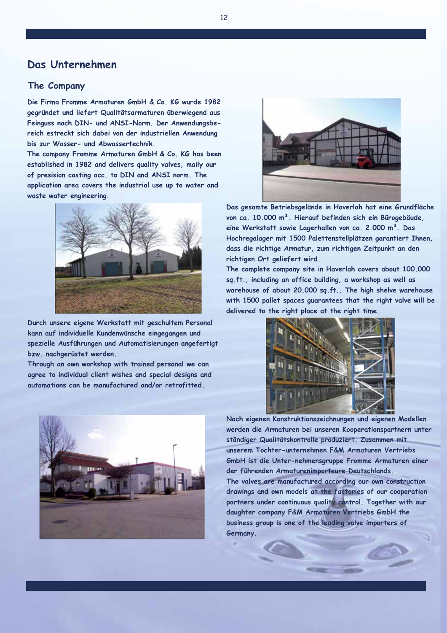## **Das Unternehmen**

## **The Company**

**Die Firma Fromme Armaturen GmbH & Co. KG wurde 1982 gegründet und liefert Qualitätsarmaturen überwiegend aus Feinguss nach DIN- und ANSI-Norm. Der Anwendungsbereich estreckt sich dabei von der industriellen Anwendung bis zur Wasser- und Abwassertechnik.**

**The company Fromme Armaturen GmbH & Co. KG has been established in 1982 and delivers quality valves, maily our of presision casting acc. to DIN and ANSI norm. The application area covers the industrial use up to water and waste water engineering.**



**Durch unsere eigene Werkstatt mit geschultem Personal kann auf individuelle Kundenwünsche eingegangen und spezielle Ausführungen und Automatisierungen angefertigt bzw. nachgerüstet werden.**

**Through an own workshop with trained personal we can agree to individual client wishes and special designs and automations can be manufactured and/or retrofitted.**





**Das gesamte Betriebsgelände in Haverlah hat eine Grundfläche von ca. 10.000 m². Hierauf befinden sich ein Bürogebäude, eine Werkstatt sowie Lagerhallen von ca. 2.000 m². Das Hochregalager mit 1500 Palettenstellplätzen garantiert Ihnen, dass die richtige Armatur, zum richtigen Zeitpunkt an den richtigen Ort geliefert wird.**

**The complete company site in Haverlah covers about 100.000 sq.ft., including an office building, a workshop as well as warehouse of about 20.000 sq.ft.. The high shelve warehouse with 1500 pallet spaces guarantees that the right valve will be delivered to the right place at the right time.**



**Nach eigenen Konstruktionszeichnungen und eigenen Modellen werden die Armaturen bei unseren Kooperationspartnern unter ständiger Qualitätskontrolle produziert. Zusammen mit unserem Tochter-unternehmen F&M Armaturen Vertriebs GmbH ist die Unter-nehmensgruppe Fromme Armaturen einer der führenden Armaturenimporteure Deutschlands. The valves are manufactured according our own construction** 

**drawings and own models at the factories of our cooperation partners under continuous quality control. Together with our daughter company F&M Armaturen Vertriebs GmbH the business group is one of the leading valve importers of Germany.**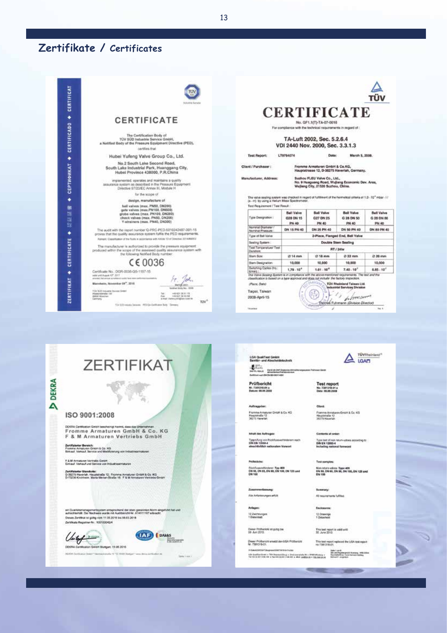# Zertifikate / Certificates

| CERTIFICAT         | <b><i>Videoma Sand</i></b>                                                                                                                                                                                                                       |                                                                                                                                                                                                                                  |                                         |                                                                    | <b>CERTIFICATE</b>                                               |                                          |
|--------------------|--------------------------------------------------------------------------------------------------------------------------------------------------------------------------------------------------------------------------------------------------|----------------------------------------------------------------------------------------------------------------------------------------------------------------------------------------------------------------------------------|-----------------------------------------|--------------------------------------------------------------------|------------------------------------------------------------------|------------------------------------------|
| ٠                  | CERTIFICATE                                                                                                                                                                                                                                      |                                                                                                                                                                                                                                  |                                         | No. GF1.1(T)-TA-07-0018                                            |                                                                  |                                          |
|                    |                                                                                                                                                                                                                                                  |                                                                                                                                                                                                                                  |                                         | For compliance with the technical requirements in import of :      |                                                                  |                                          |
|                    | The Certification Body of<br>TÜV SÜD Industrie Service GmbH,                                                                                                                                                                                     |                                                                                                                                                                                                                                  |                                         | TA-Luft 2002, Sec. 5.2.6.4                                         |                                                                  |                                          |
| <b>CERTIFICADO</b> | a Notified Body of the Pressure Equipment Directive (PED),<br>certifies that                                                                                                                                                                     |                                                                                                                                                                                                                                  |                                         | VDI 2440 Nov. 2000, Sec. 3.3.1.3                                   |                                                                  |                                          |
|                    | Hubei Yufeng Valve Group Co., Ltd.                                                                                                                                                                                                               | <b>Test Report:</b>                                                                                                                                                                                                              | LT0764074                               | Date:                                                              | March 5, 2008.                                                   |                                          |
| ٠                  | No.2 South Lake Second Road,<br>South Lake Industrial Park, Huanggang City,<br>Hubel Province 438000, P.R.China                                                                                                                                  | Client / Purchaser:                                                                                                                                                                                                              |                                         | Fromme Armaturen GmbH & Co.KG.                                     | Hauptstrasse 12, D-38275 Haverlah, Germany.                      |                                          |
| <b>СЕРТИФИКАТ</b>  | implemented, operates and maintains a quality.<br>assurance system as described in the Pressure Equipment.<br>Directive 97/23/EC Arines III. Module H                                                                                            | Manufacturer, Address:                                                                                                                                                                                                           |                                         | Suzhou FLEU Valve Co., Ltd.,<br>Wellang City, 21520 Suzhou, China. | No. 9 Huaguang Road, Wujiang Economic Dev. Area,                 |                                          |
|                    | for the scope of                                                                                                                                                                                                                                 | The valve scaling system was checked in regard of fulfillment of the hermelical criteria of 1.3 - 10" mbsr - 1/                                                                                                                  |                                         |                                                                    |                                                                  |                                          |
| ٠                  | design, manufacture of                                                                                                                                                                                                                           | (s - m) by using a Helium Mass Spectromate).                                                                                                                                                                                     |                                         |                                                                    |                                                                  |                                          |
| 部                  | ball valves (max. PN50, DN200)<br>gate valves (max.PN160, DN603)                                                                                                                                                                                 | Test Requirement / Test Result:                                                                                                                                                                                                  |                                         |                                                                    |                                                                  |                                          |
| 鴣<br>씷<br>鲸        | globa valves (max. PN100, DN200)<br>check valves (max, PN50, DN200)<br>Y-strainers (max. PN40, DN300)                                                                                                                                            | Type Designation:                                                                                                                                                                                                                | <b>Ball Valve</b><br>G28 DN 15<br>PN 40 | <b>Ball Valve</b><br>G27 DN 25<br>PN 40                            | <b>Bell Value</b><br>G 28 DN 50<br>PN 40                         | Ball Valve<br>G 28 DN 80<br><b>PN 46</b> |
|                    | The audit with the report number Q-PRC-PED-5010242487-001-15                                                                                                                                                                                     | Nominal Diameter<br>Nominal Pressure                                                                                                                                                                                             | DN 15 PN 40                             | DN 25 PN 40                                                        | <b>ON 50 PN 40</b>                                               | DN 83 PN 40                              |
| ٠                  | proves that the quality sesurance system fulfils the FED requirements.                                                                                                                                                                           | Type of Ball Valve                                                                                                                                                                                                               |                                         |                                                                    | 2-Piece, Flanged End, Ball Valve                                 |                                          |
|                    | Remore: Casselladeer of the fluidy in accordance with Aricle 13 of Directive 2014/68/81/                                                                                                                                                         | Sealing System:                                                                                                                                                                                                                  |                                         |                                                                    | Double Stem Sealing                                              |                                          |
| CERTIFICATE        | The manufacturer is authorized to provide the pressure opupment.<br>produced within the scope of the assessed quality assurance system with                                                                                                      | Test Temperature/ Test<br><b>Duration:</b>                                                                                                                                                                                       |                                         |                                                                    | <b>RT / 24hr</b>                                                 |                                          |
|                    | the following Notified Body number.                                                                                                                                                                                                              | Starn Size:                                                                                                                                                                                                                      | (0 14 mm                                | $@18$ mm                                                           | @ 22 mm                                                          | (3 28 mm                                 |
|                    | $C \in 0036$                                                                                                                                                                                                                                     | Stern Designation:                                                                                                                                                                                                               | 10,000                                  | 10,000                                                             | 10,000                                                           | 10,000                                   |
| ٠                  | Certificate No.: DGR-0038-Q6-1157-15                                                                                                                                                                                                             | Switching Cycles (fri):<br><b>Giment</b>                                                                                                                                                                                         | 1.79.10 <sup>4</sup>                    | 1.01.16 <sup>4</sup>                                               | $7.40 - 10^{7}$                                                  | $0.85 - 10^{7}$                          |
|                    | week and August 12". 2017<br>primated that annual juination of quality hand more performed basements to<br>Mannheim, November 09", 2015<br><b>MOREAL HORN BALL FIELD</b><br>TIM SCO makesma through Division<br>HENDI 383119<br>Prementation 130 | The Valve Scaling System is at compliance with the above mentioned requirements. The leaf and the<br>classification is based on a type approval and does not instude. The factory inspection,<br>(Place, Date)<br>Taipoi, Taiwan |                                         |                                                                    | <b>TUV Rheinland Taiwan Ltd.</b><br>Industrial Services Division |                                          |
| ZERTIFIKAT         | v49-521 38 55.54<br><b>Abbad Muschan</b><br>Fax:<br>a mail darkra preighen issid its<br>Geines<br><b>TOV<sup>+</sup></b>                                                                                                                         | 2008-April-15                                                                                                                                                                                                                    |                                         |                                                                    | <i><u><i><u><i><u>L'monte</u></i></u></i></u></i>                |                                          |
|                    | TOV EUC relates Selvices PED-QA Carificators Barb Girmany                                                                                                                                                                                        |                                                                                                                                                                                                                                  |                                         |                                                                    | Thomas Fuhrmann (Division Director)                              |                                          |

|              |                                                                                                                                                                                   | <b>LGA QualiTest Gr</b><br>Sanitär- und Abso                       |
|--------------|-----------------------------------------------------------------------------------------------------------------------------------------------------------------------------------|--------------------------------------------------------------------|
|              | <b>ZERTIFIKAT</b>                                                                                                                                                                 | 長江市<br><b>INFINITION</b><br>Swiftstart each Dill Thirdid           |
| <b>DEKRA</b> |                                                                                                                                                                                   | Prüfbericht<br>NY. TORRING OF A<br>Datum: 02.06.2008               |
|              |                                                                                                                                                                                   | Auftraggeber:                                                      |
|              | ISO 9001:2008                                                                                                                                                                     | Francis Arnatures C<br><b>Keammale 12</b><br>202215-HamerBah       |
|              | DEKRA Certication GmbH beacheringt Nermit, casa cas Unternahmen<br>Fromme Armaturen GmbH & Co. KG<br>F & M Armaturen Vertriebs GmbH                                               | <b>Inhalt des Aufbrages</b>                                        |
|              | Zertifizierter Bereich:<br>Fromme Armaturen Gimbri & Co. KO-<br>Einkauf. Verkauf. Service und Modifizierung von Industrieschüteren                                                | Typpschung von Rock<br>DIN EN 12050-A<br>einochlieblich nation     |
|              | F.A.M.Armaturen Vertrade GrebH.<br>Einhauf. Verkauf und Service von Industriesmisturen.                                                                                           | Primaticke:                                                        |
|              | Zertifizierter Standorie:<br>D-38275 Haverlak, Hauptstraße 12; Frontena Annaturen Gribhl & Co. RIS-<br>IS-75230 Knotcheim, Marki-Meitart-Straße 16. F & M Annassen Versiebs Gmp/F | RickFusevorNinderer:<br>DN 50, DN 65, DN 80<br><b>CN1180</b>       |
|              |                                                                                                                                                                                   | Zusammenfinisung                                                   |
|              |                                                                                                                                                                                   | Alla Aritorderungen ar                                             |
|              | ain Qualitätemanagementsystem antsprechend der oben genahnten Norm eingefluhrt hat und                                                                                            | Ardagen:                                                           |
|              | aufrachterhält. Der Nachweis wurde mit Auditsenzte Nr. A14111107 erbracht.<br>Deses Zentikat ist götig vom 11.05.2018 bis 06.03.2018<br>Zertifikata Registrier-Nr.: 100103042/4   | 12 Zwichtlungen<br>1 Datenblatt                                    |
|              | <b>DAkkS</b><br><b>b</b> occas                                                                                                                                                    | Deser Prüfbenote ist (<br>39. Juni 2013.                           |
|              | <b>Ma lational Co</b>                                                                                                                                                             | <b>Closer Prüfbanklit ersi</b><br>Nr. 7381318-01.                  |
|              | DEXRA Carolicaton GrebH Studgart, 11:05.2015                                                                                                                                      | In the auto barbail Fully spread                                   |
|              | 15000 Carl Roger Deal 11 Northern Ford C 15 10 10 Min 14 14 14 14 15 16 16 17<br>Santa 1 cort 1                                                                                   | <b>ABA Busified Broad + 70x1</b><br>THE FED-CO RET STOR, COST & PG |
|              |                                                                                                                                                                                   |                                                                    |

mbili<br>cheidelechnik de (m)' (humana non<br>Germa Francia non non<br>Limit Limit

---

salam Vorwort

: Typ 409<br>0, CM 109, CM 125 und

nn,

ping ba

Mid-ADJ ADJ Folk Raw

onton Chemistrian<br>Massaching - Descoration II - Philippine - Descontinue paul Alexand, 198 (198<br>Gerti Palis III - Alex politician - Descontinue Parties Correlation<br>Gerti Palis III - Alex politician - Michael Alexandropean

Framme Annataren Gmart & Co. KG<br>Hauptmalle 12<br>36273 Havenin

Test report<br>No.738131411a<br>Onte: 08.09.398

 $\triangleq \frac{\text{rowstrained}}{\text{IGAD}}$ 

Contents of order: Type test of non-return-valves ap<br>DIN EN 12090-4<br>Including national farmword .<br>Seting to

Test samples: Non-situra volves Type 409<br>DN 50, DN 65, DN 90, DN 100, DN 125 and<br>DN 150

Summary: All resume ment fulfilled.

**Basi** 12 Drawings<br>1 Distances

This test report is valid until<br>30. June 2013

This test report replaced the USA test report<br>no 7381316-01

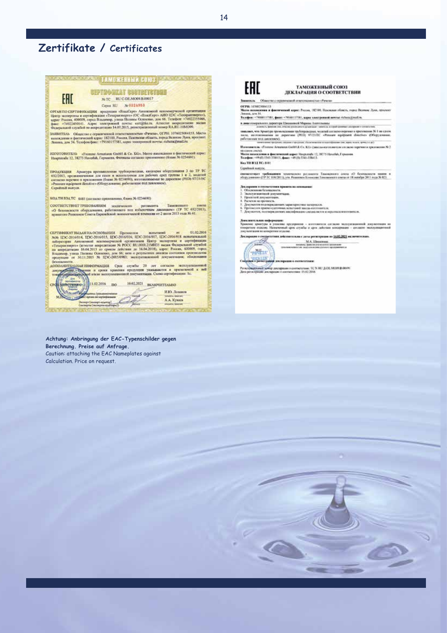# Zertifikate / Certificates



Achtung: Anbringung der EAC-Typenschilder gegen Berechnung. Preise auf Anfrage. Caution: attaching the EAC Nameplates against Calculation. Price on request.

**CARLY PAST D** 

# EAC

## ТАМОЖЕННЫЙ СОЮЗ

#### ДЕКЛАРАЦИЯ О СООТВЕТСТВИИ an a Parama

### **Закавиль** Обмество с отравня

ОГРН: 1070025014153<br>Место назвавания и финтенский адрес: России, 18200. Психоски область, город Великис Луан, просхо<br>Легина, для М.<br>Телефон - 79361137581, финт - 79560137381, адрес завестринной печена гіспендірхайль.

- 
- в дина геогрального даректора Шишкиноой Марина Андгельция).<br>2000 года в филм состояние постояние расположение денарят записал создание состояние составляет

лавдают, что Арагура премышленна трубородствах можной сигадем вариант в приховании 30 Г на слоэк<br>после под старативно по деревниками продолжения с состоит прировения от проходитель 30 Г на слоэк<br>после под далековом). По

Именением: «Главок Алемана Goddi & Co. KG» (декальноголовные состасно перечно в пролитение № 2

# on concentration a party-recent superior the number 21, 19275 Havebal, Typeraman<br>Mercurian and Control and Control and Control Havebal, Typeraman<br>Templom +09405 SMS (MSS) I, passe: +09 (05 SMS 13841).

mid area

Ke THEST TC: SHI

#### Construct manyor.

оветвететвует требованиям технического регисанта Такоженията союза «О бекнисанств наших в<br>оберданиями» (ТР ТС 010:2011), ута Ренизием Коннесии Гаможенията союза от 18 сепября 2011 года № 821

- -
- 
- 
- 
- Декларания в соколетатели принята на основание:<br>1. Околония и Сенналонтъ, компания<br>2. Околония и окружентари.<br>2. Проектной документари.<br>4. Проектной документари.<br>2. Декументов, подторжение малофрикано сигараласти и окрасн

иканительния информации<br>онлисе дригуры в упаконы органрития – интернетал согласно эксплуатационной документники на<br>органое извенуе Навиченный орон службы и сред лаботами интернетия – откласно эксплуатационной<br>ументалия на  $\begin{minipage}{0.9\linewidth} \textbf{Answer:} \begin{minipage}{0.9\linewidth} \textbf{1} & \textbf{1} & \textbf{1} & \textbf{1} & \textbf{1} & \textbf{1} & \textbf{1} \\ \textbf{1} & \textbf{1} & \textbf{1} & \textbf{1} & \textbf{1} & \textbf{1} & \textbf{1} \\ \textbf{1} & \textbf{1} & \textbf{1} & \textbf{1} & \textbf{1} & \textbf{1} & \textbf{1} \\ \textbf{1} & \textbf{1} & \textbf{1} & \textbf{1} & \textbf{1} & \textbf{1$ 



M.A. illegarenni<br>november 1990 (1991)<br>november 1990 (1991)

**Contract Contract Contract Contract Contract Contract Contract Contract Contract Contract Contract Contract Contract Contract Contract Contract Contract Contract Contract Contract Contract Contract Contract Contract Contr** 

## **CONSTRUCT SOMETIME SECRETARY OF CONSTRUCTIONS AND A DEMOCRATIONS**

 $14$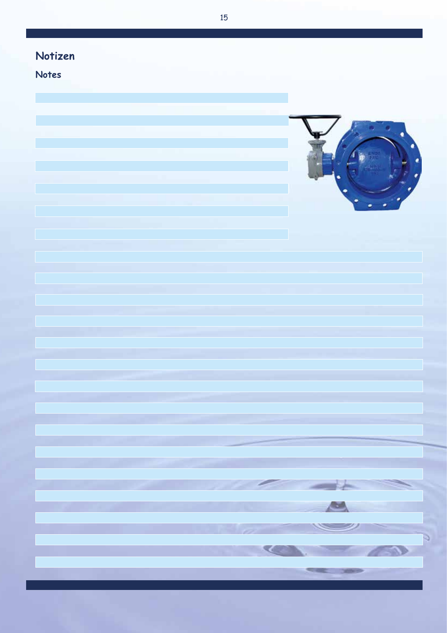